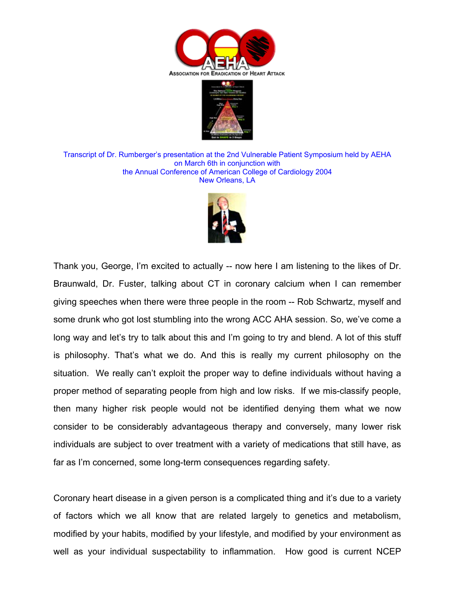



Transcript of Dr. Rumberger's presentation at the 2nd Vulnerable Patient Symposium held by AEHA on March 6th in conjunction with the Annual Conference of American College of Cardiology 2004 New Orleans, LA



Thank you, George, I'm excited to actually -- now here I am listening to the likes of Dr. Braunwald, Dr. Fuster, talking about CT in coronary calcium when I can remember giving speeches when there were three people in the room -- Rob Schwartz, myself and some drunk who got lost stumbling into the wrong ACC AHA session. So, we've come a long way and let's try to talk about this and I'm going to try and blend. A lot of this stuff is philosophy. That's what we do. And this is really my current philosophy on the situation. We really can't exploit the proper way to define individuals without having a proper method of separating people from high and low risks. If we mis-classify people, then many higher risk people would not be identified denying them what we now consider to be considerably advantageous therapy and conversely, many lower risk individuals are subject to over treatment with a variety of medications that still have, as far as I'm concerned, some long-term consequences regarding safety.

Coronary heart disease in a given person is a complicated thing and it's due to a variety of factors which we all know that are related largely to genetics and metabolism, modified by your habits, modified by your lifestyle, and modified by your environment as well as your individual suspectability to inflammation. How good is current NCEP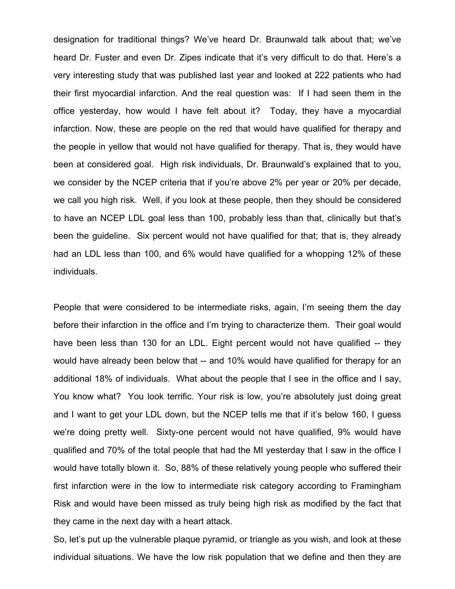designation for traditional things? We've heard Dr. Braunwald talk about that; we've heard Dr. Fuster and even Dr. Zipes indicate that it's very difficult to do that. Here's a very interesting study that was published last year and looked at 222 patients who had their first myocardial infarction. And the real question was: If I had seen them in the office yesterday, how would I have felt about it? Today, they have a myocardial infarction. Now, these are people on the red that would have qualified for therapy and the people in yellow that would not have qualified for therapy. That is, they would have been at considered goal. High risk individuals, Dr. Braunwald's explained that to you, we consider by the NCEP criteria that if you're above 2% per year or 20% per decade, we call you high risk. Well, if you look at these people, then they should be considered to have an NCEP LDL goal less than 100, probably less than that, clinically but that's been the guideline. Six percent would not have qualified for that; that is, they already had an LDL less than 100, and 6% would have qualified for a whopping 12% of these individuals.

People that were considered to be intermediate risks, again, I'm seeing them the day before their infarction in the office and I'm trying to characterize them. Their goal would have been less than 130 for an LDL. Eight percent would not have qualified -- they would have already been below that -- and 10% would have qualified for therapy for an additional 18% of individuals. What about the people that I see in the office and I say, You know what? You look terrific. Your risk is low, you're absolutely just doing great and I want to get your LDL down, but the NCEP tells me that if it's below 160, I guess we're doing pretty well. Sixty-one percent would not have qualified, 9% would have qualified and 70% of the total people that had the MI yesterday that I saw in the office I would have totally blown it. So, 88% of these relatively young people who suffered their first infarction were in the low to intermediate risk category according to Framingham Risk and would have been missed as truly being high risk as modified by the fact that they came in the next day with a heart attack.

So, let's put up the vulnerable plaque pyramid, or triangle as you wish, and look at these individual situations. We have the low risk population that we define and then they are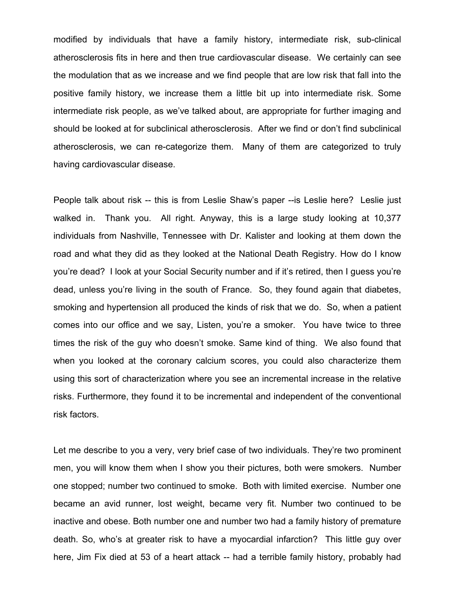modified by individuals that have a family history, intermediate risk, sub-clinical atherosclerosis fits in here and then true cardiovascular disease. We certainly can see the modulation that as we increase and we find people that are low risk that fall into the positive family history, we increase them a little bit up into intermediate risk. Some intermediate risk people, as we've talked about, are appropriate for further imaging and should be looked at for subclinical atherosclerosis. After we find or don't find subclinical atherosclerosis, we can re-categorize them. Many of them are categorized to truly having cardiovascular disease.

People talk about risk -- this is from Leslie Shaw's paper --is Leslie here? Leslie just walked in. Thank you. All right. Anyway, this is a large study looking at 10,377 individuals from Nashville, Tennessee with Dr. Kalister and looking at them down the road and what they did as they looked at the National Death Registry. How do I know you're dead? I look at your Social Security number and if it's retired, then I guess you're dead, unless you're living in the south of France. So, they found again that diabetes, smoking and hypertension all produced the kinds of risk that we do. So, when a patient comes into our office and we say, Listen, you're a smoker. You have twice to three times the risk of the guy who doesn't smoke. Same kind of thing. We also found that when you looked at the coronary calcium scores, you could also characterize them using this sort of characterization where you see an incremental increase in the relative risks. Furthermore, they found it to be incremental and independent of the conventional risk factors.

Let me describe to you a very, very brief case of two individuals. They're two prominent men, you will know them when I show you their pictures, both were smokers. Number one stopped; number two continued to smoke. Both with limited exercise. Number one became an avid runner, lost weight, became very fit. Number two continued to be inactive and obese. Both number one and number two had a family history of premature death. So, who's at greater risk to have a myocardial infarction? This little guy over here, Jim Fix died at 53 of a heart attack -- had a terrible family history, probably had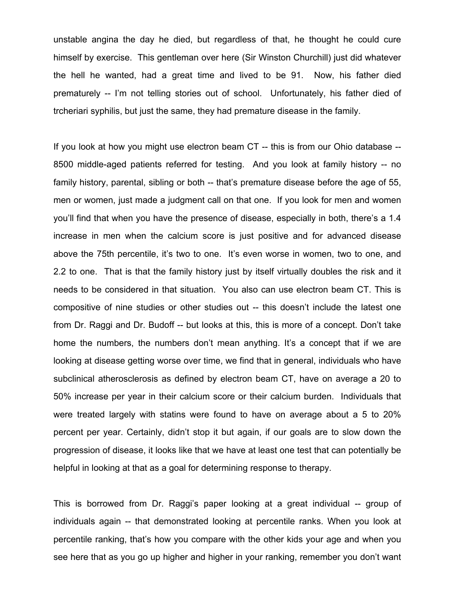unstable angina the day he died, but regardless of that, he thought he could cure himself by exercise. This gentleman over here (Sir Winston Churchill) just did whatever the hell he wanted, had a great time and lived to be 91. Now, his father died prematurely -- I'm not telling stories out of school. Unfortunately, his father died of trcheriari syphilis, but just the same, they had premature disease in the family.

If you look at how you might use electron beam CT -- this is from our Ohio database -- 8500 middle-aged patients referred for testing. And you look at family history -- no family history, parental, sibling or both -- that's premature disease before the age of 55, men or women, just made a judgment call on that one. If you look for men and women you'll find that when you have the presence of disease, especially in both, there's a 1.4 increase in men when the calcium score is just positive and for advanced disease above the 75th percentile, it's two to one. It's even worse in women, two to one, and 2.2 to one. That is that the family history just by itself virtually doubles the risk and it needs to be considered in that situation. You also can use electron beam CT. This is compositive of nine studies or other studies out -- this doesn't include the latest one from Dr. Raggi and Dr. Budoff -- but looks at this, this is more of a concept. Don't take home the numbers, the numbers don't mean anything. It's a concept that if we are looking at disease getting worse over time, we find that in general, individuals who have subclinical atherosclerosis as defined by electron beam CT, have on average a 20 to 50% increase per year in their calcium score or their calcium burden. Individuals that were treated largely with statins were found to have on average about a 5 to 20% percent per year. Certainly, didn't stop it but again, if our goals are to slow down the progression of disease, it looks like that we have at least one test that can potentially be helpful in looking at that as a goal for determining response to therapy.

This is borrowed from Dr. Raggi's paper looking at a great individual -- group of individuals again -- that demonstrated looking at percentile ranks. When you look at percentile ranking, that's how you compare with the other kids your age and when you see here that as you go up higher and higher in your ranking, remember you don't want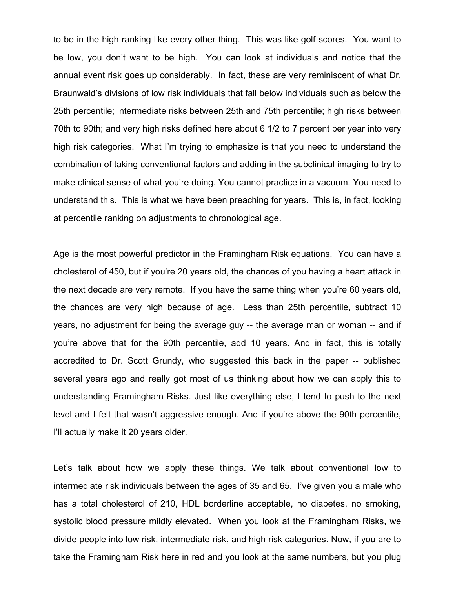to be in the high ranking like every other thing. This was like golf scores. You want to be low, you don't want to be high. You can look at individuals and notice that the annual event risk goes up considerably. In fact, these are very reminiscent of what Dr. Braunwald's divisions of low risk individuals that fall below individuals such as below the 25th percentile; intermediate risks between 25th and 75th percentile; high risks between 70th to 90th; and very high risks defined here about 6 1/2 to 7 percent per year into very high risk categories. What I'm trying to emphasize is that you need to understand the combination of taking conventional factors and adding in the subclinical imaging to try to make clinical sense of what you're doing. You cannot practice in a vacuum. You need to understand this. This is what we have been preaching for years. This is, in fact, looking at percentile ranking on adjustments to chronological age.

Age is the most powerful predictor in the Framingham Risk equations. You can have a cholesterol of 450, but if you're 20 years old, the chances of you having a heart attack in the next decade are very remote. If you have the same thing when you're 60 years old, the chances are very high because of age. Less than 25th percentile, subtract 10 years, no adjustment for being the average guy -- the average man or woman -- and if you're above that for the 90th percentile, add 10 years. And in fact, this is totally accredited to Dr. Scott Grundy, who suggested this back in the paper -- published several years ago and really got most of us thinking about how we can apply this to understanding Framingham Risks. Just like everything else, I tend to push to the next level and I felt that wasn't aggressive enough. And if you're above the 90th percentile, I'll actually make it 20 years older.

Let's talk about how we apply these things. We talk about conventional low to intermediate risk individuals between the ages of 35 and 65. I've given you a male who has a total cholesterol of 210, HDL borderline acceptable, no diabetes, no smoking, systolic blood pressure mildly elevated. When you look at the Framingham Risks, we divide people into low risk, intermediate risk, and high risk categories. Now, if you are to take the Framingham Risk here in red and you look at the same numbers, but you plug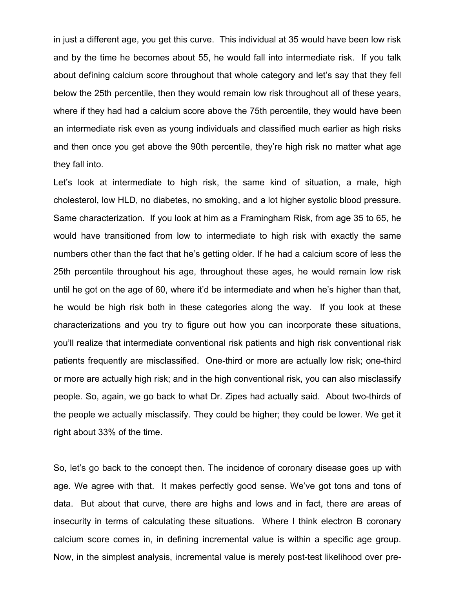in just a different age, you get this curve. This individual at 35 would have been low risk and by the time he becomes about 55, he would fall into intermediate risk. If you talk about defining calcium score throughout that whole category and let's say that they fell below the 25th percentile, then they would remain low risk throughout all of these years, where if they had had a calcium score above the 75th percentile, they would have been an intermediate risk even as young individuals and classified much earlier as high risks and then once you get above the 90th percentile, they're high risk no matter what age they fall into.

Let's look at intermediate to high risk, the same kind of situation, a male, high cholesterol, low HLD, no diabetes, no smoking, and a lot higher systolic blood pressure. Same characterization. If you look at him as a Framingham Risk, from age 35 to 65, he would have transitioned from low to intermediate to high risk with exactly the same numbers other than the fact that he's getting older. If he had a calcium score of less the 25th percentile throughout his age, throughout these ages, he would remain low risk until he got on the age of 60, where it'd be intermediate and when he's higher than that, he would be high risk both in these categories along the way. If you look at these characterizations and you try to figure out how you can incorporate these situations, you'll realize that intermediate conventional risk patients and high risk conventional risk patients frequently are misclassified. One-third or more are actually low risk; one-third or more are actually high risk; and in the high conventional risk, you can also misclassify people. So, again, we go back to what Dr. Zipes had actually said. About two-thirds of the people we actually misclassify. They could be higher; they could be lower. We get it right about 33% of the time.

So, let's go back to the concept then. The incidence of coronary disease goes up with age. We agree with that. It makes perfectly good sense. We've got tons and tons of data. But about that curve, there are highs and lows and in fact, there are areas of insecurity in terms of calculating these situations. Where I think electron B coronary calcium score comes in, in defining incremental value is within a specific age group. Now, in the simplest analysis, incremental value is merely post-test likelihood over pre